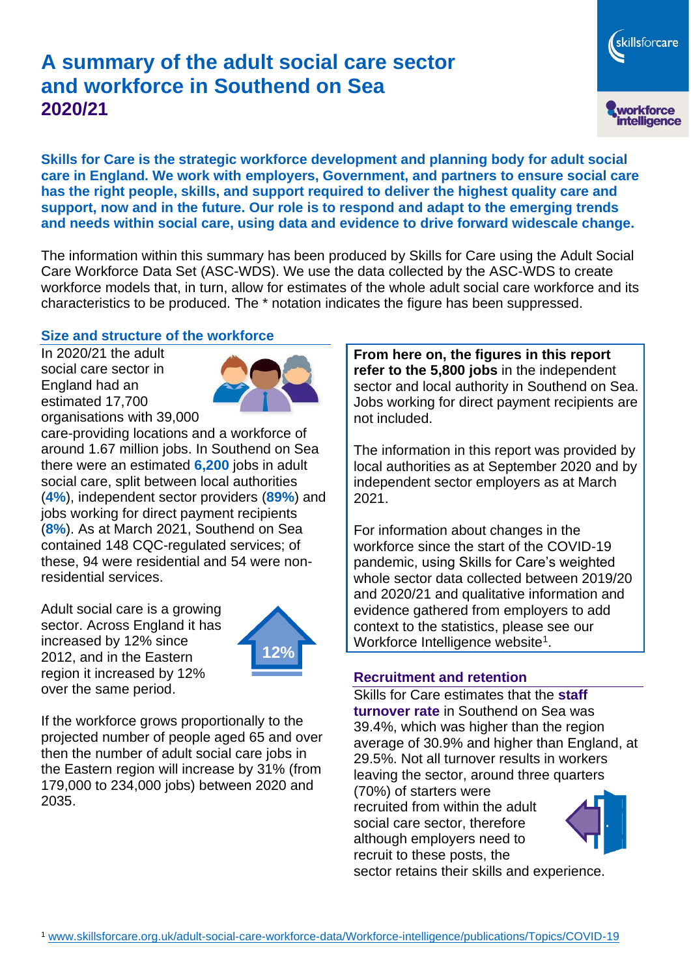# **A summary of the adult social care sector and workforce in Southend on Sea 2020/21**

skillsforcare workforce<br>intelligence

**Skills for Care is the strategic workforce development and planning body for adult social care in England. We work with employers, Government, and partners to ensure social care has the right people, skills, and support required to deliver the highest quality care and support, now and in the future. Our role is to respond and adapt to the emerging trends and needs within social care, using data and evidence to drive forward widescale change.**

The information within this summary has been produced by Skills for Care using the Adult Social Care Workforce Data Set (ASC-WDS). We use the data collected by the ASC-WDS to create workforce models that, in turn, allow for estimates of the whole adult social care workforce and its characteristics to be produced. The \* notation indicates the figure has been suppressed.

#### **Size and structure of the workforce**

In 2020/21 the adult social care sector in England had an estimated 17,700 organisations with 39,000



care-providing locations and a workforce of around 1.67 million jobs. In Southend on Sea there were an estimated **6,200** jobs in adult social care, split between local authorities (**4%**), independent sector providers (**89%**) and jobs working for direct payment recipients (**8%**). As at March 2021, Southend on Sea contained 148 CQC-regulated services; of these, 94 were residential and 54 were nonresidential services.

Adult social care is a growing sector. Across England it has increased by 12% since 2012, and in the Eastern region it increased by 12% over the same period.



If the workforce grows proportionally to the projected number of people aged 65 and over then the number of adult social care jobs in the Eastern region will increase by 31% (from 179,000 to 234,000 jobs) between 2020 and 2035.

**From here on, the figures in this report refer to the 5,800 jobs** in the independent sector and local authority in Southend on Sea. Jobs working for direct payment recipients are not included.

The information in this report was provided by local authorities as at September 2020 and by independent sector employers as at March 2021.

For information about changes in the workforce since the start of the COVID-19 pandemic, using Skills for Care's weighted whole sector data collected between 2019/20 and 2020/21 and qualitative information and evidence gathered from employers to add context to the statistics, please see our Workforce Intelligence website<sup>1</sup>.

#### **Recruitment and retention**

Skills for Care estimates that the **staff turnover rate** in Southend on Sea was 39.4%, which was higher than the region average of 30.9% and higher than England, at 29.5%. Not all turnover results in workers leaving the sector, around three quarters

(70%) of starters were recruited from within the adult social care sector, therefore although employers need to recruit to these posts, the sector retains their skills and experience.



<sup>1</sup> [www.skillsforcare.org.uk/adult-social-care-workforce-data/Workforce-intelligence/publications/Topics/COVID-19](https://eur01.safelinks.protection.outlook.com/?url=http%3A%2F%2Fwww.skillsforcare.org.uk%2Fadult-social-care-workforce-data%2FWorkforce-intelligence%2Fpublications%2FTopics%2FCOVID-19&data=02%7C01%7CDave.Griffiths%40skillsforcare.org.uk%7C6edb2a67d4c740cd1ba008d81e793e00%7C5c317017415d43e6ada17668f9ad3f9f%7C0%7C0%7C637292853362952796&sdata=4QCvpzYfX8g1KSs9rWNe9A5%2FWMIkT7OKR7%2FXjsdbPmM%3D&reserved=0)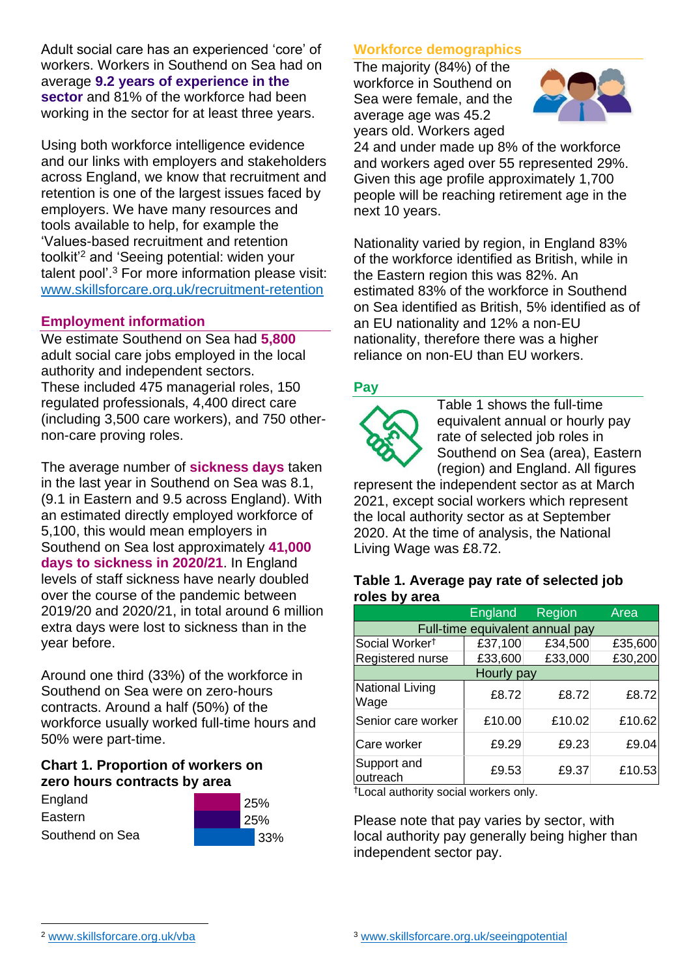Adult social care has an experienced 'core' of workers. Workers in Southend on Sea had on average **9.2 years of experience in the sector** and 81% of the workforce had been working in the sector for at least three years.

Using both workforce intelligence evidence and our links with employers and stakeholders across England, we know that recruitment and retention is one of the largest issues faced by employers. We have many resources and tools available to help, for example the 'Values-based recruitment and retention toolkit'<sup>2</sup> and 'Seeing potential: widen your talent pool'. <sup>3</sup> For more information please visit: [www.skillsforcare.org.uk/recruitment-retention](http://www.skillsforcare.org.uk/recruitment-retention)

#### **Employment information**

We estimate Southend on Sea had **5,800** adult social care jobs employed in the local authority and independent sectors. These included 475 managerial roles, 150 regulated professionals, 4,400 direct care (including 3,500 care workers), and 750 othernon-care proving roles.

The average number of **sickness days** taken in the last year in Southend on Sea was 8.1, (9.1 in Eastern and 9.5 across England). With an estimated directly employed workforce of 5,100, this would mean employers in Southend on Sea lost approximately **41,000 days to sickness in 2020/21**. In England levels of staff sickness have nearly doubled over the course of the pandemic between 2019/20 and 2020/21, in total around 6 million extra days were lost to sickness than in the year before.

Around one third (33%) of the workforce in Southend on Sea were on zero-hours contracts. Around a half (50%) of the workforce usually worked full-time hours and 50% were part-time.

#### **Chart 1. Proportion of workers on zero hours contracts by area**

| England         |  |
|-----------------|--|
| Eastern         |  |
| Southend on Sea |  |



### **Workforce demographics**

The majority (84%) of the workforce in Southend on Sea were female, and the average age was 45.2 years old. Workers aged



24 and under made up 8% of the workforce and workers aged over 55 represented 29%. Given this age profile approximately 1,700 people will be reaching retirement age in the next 10 years.

Nationality varied by region, in England 83% of the workforce identified as British, while in the Eastern region this was 82%. An estimated 83% of the workforce in Southend on Sea identified as British, 5% identified as of an EU nationality and 12% a non-EU nationality, therefore there was a higher reliance on non-EU than EU workers.

### **Pay**



Table 1 shows the full-time equivalent annual or hourly pay rate of selected job roles in Southend on Sea (area), Eastern (region) and England. All figures

represent the independent sector as at March 2021, except social workers which represent the local authority sector as at September 2020. At the time of analysis, the National Living Wage was £8.72.

#### **Table 1. Average pay rate of selected job roles by area**

|                                 | <b>England</b> | <b>Region</b> | Area    |
|---------------------------------|----------------|---------------|---------|
| Full-time equivalent annual pay |                |               |         |
| Social Worker <sup>t</sup>      | £37,100        | £34,500       | £35,600 |
| Registered nurse                | £33,600        | £33,000       | £30,200 |
| Hourly pay                      |                |               |         |
| <b>National Living</b><br>Wage  | £8.72          | £8.72         | £8.72   |
| Senior care worker              | £10.00         | £10.02        | £10.62  |
| Care worker                     | £9.29          | £9.23         | £9.04   |
| Support and<br>outreach         | £9.53          | £9.37         | £10.53  |

†Local authority social workers only.

Please note that pay varies by sector, with local authority pay generally being higher than independent sector pay.

[www.skillsforcare.org.uk/vba](http://www.skillsforcare.org.uk/vba)